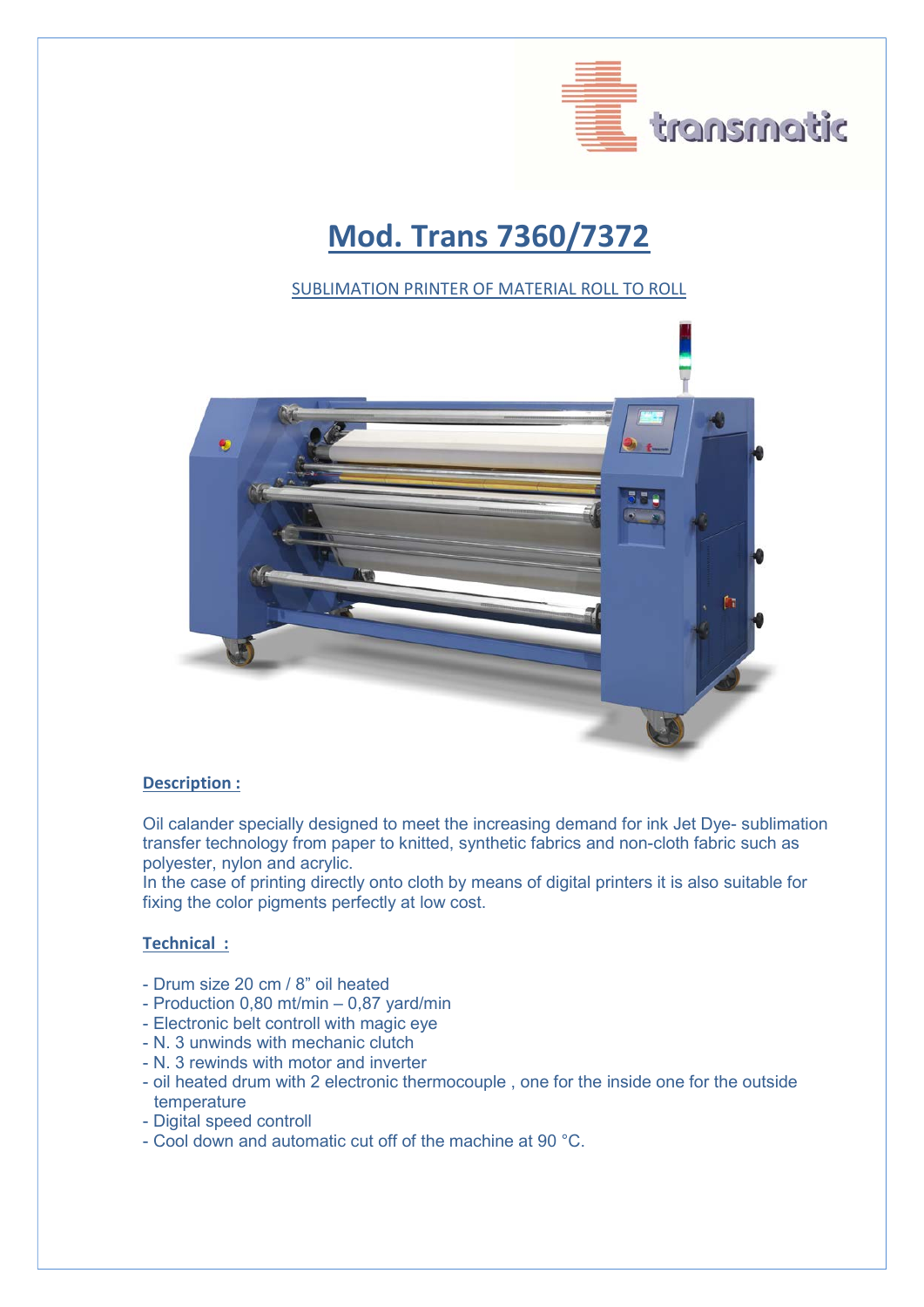

# Mod. Trans 7360/7372

#### SUBLIMATION PRINTER OF MATERIAL ROLL TO ROLL



#### Description :

Oil calander specially designed to meet the increasing demand for ink Jet Dye- sublimation transfer technology from paper to knitted, synthetic fabrics and non-cloth fabric such as polyester, nylon and acrylic.

In the case of printing directly onto cloth by means of digital printers it is also suitable for fixing the color pigments perfectly at low cost.

### Technical :

- Drum size 20 cm / 8" oil heated
- Production 0,80 mt/min 0,87 yard/min
- Electronic belt controll with magic eye
- N. 3 unwinds with mechanic clutch
- N. 3 rewinds with motor and inverter
- oil heated drum with 2 electronic thermocouple , one for the inside one for the outside temperature
- Digital speed controll
- Cool down and automatic cut off of the machine at 90 °C.